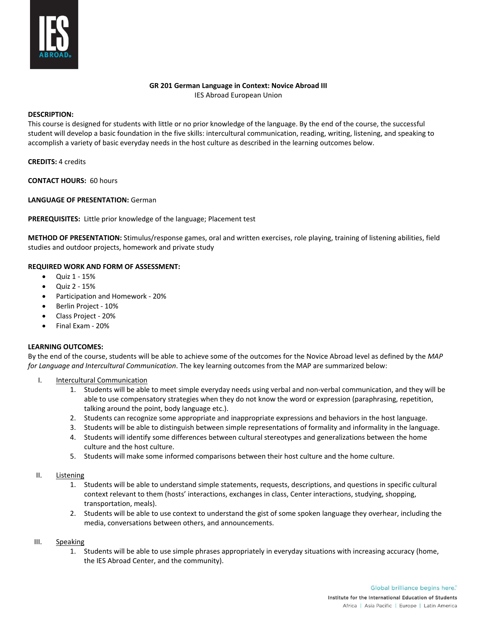

## **GR 201 German Language in Context: Novice Abroad III**

IES Abroad European Union

### **DESCRIPTION:**

This course is designed for students with little or no prior knowledge of the language. By the end of the course, the successful student will develop a basic foundation in the five skills: intercultural communication, reading, writing, listening, and speaking to accomplish a variety of basic everyday needs in the host culture as described in the learning outcomes below.

**CREDITS:** 4 credits

**CONTACT HOURS:** 60 hours

**LANGUAGE OF PRESENTATION:** German

**PREREQUISITES:** Little prior knowledge of the language; Placement test

**METHOD OF PRESENTATION:** Stimulus/response games, oral and written exercises, role playing, training of listening abilities, field studies and outdoor projects, homework and private study

### **REQUIRED WORK AND FORM OF ASSESSMENT:**

- Quiz 1 15%
- Quiz 2 15%
- Participation and Homework 20%
- Berlin Project 10%
- Class Project 20%
- Final Exam 20%

# **LEARNING OUTCOMES:**

By the end of the course, students will be able to achieve some of the outcomes for the Novice Abroad level as defined by the *MAP for Language and Intercultural Communication*. The key learning outcomes from the MAP are summarized below:

- I. Intercultural Communication
	- 1. Students will be able to meet simple everyday needs using verbal and non-verbal communication, and they will be able to use compensatory strategies when they do not know the word or expression (paraphrasing, repetition, talking around the point, body language etc.).
	- 2. Students can recognize some appropriate and inappropriate expressions and behaviors in the host language.
	- 3. Students will be able to distinguish between simple representations of formality and informality in the language.
	- 4. Students will identify some differences between cultural stereotypes and generalizations between the home culture and the host culture.
	- 5. Students will make some informed comparisons between their host culture and the home culture.
- II. Listening
	- 1. Students will be able to understand simple statements, requests, descriptions, and questions in specific cultural context relevant to them (hosts' interactions, exchanges in class, Center interactions, studying, shopping, transportation, meals).
	- 2. Students will be able to use context to understand the gist of some spoken language they overhear, including the media, conversations between others, and announcements.

#### III. Speaking

1. Students will be able to use simple phrases appropriately in everyday situations with increasing accuracy (home, the IES Abroad Center, and the community).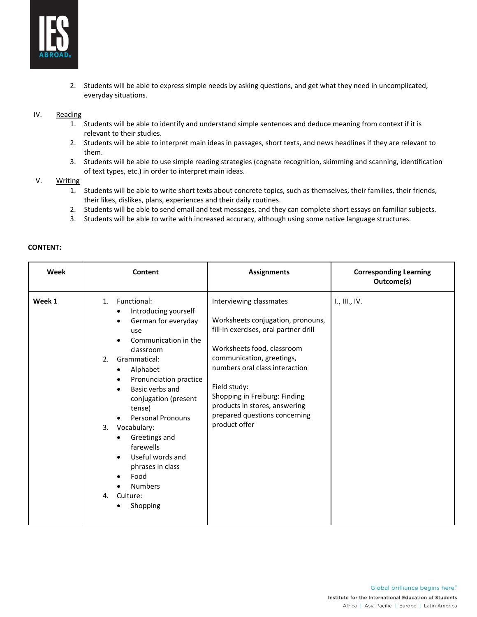

2. Students will be able to express simple needs by asking questions, and get what they need in uncomplicated, everyday situations.

### IV. Reading

- 1. Students will be able to identify and understand simple sentences and deduce meaning from context if it is relevant to their studies.
- 2. Students will be able to interpret main ideas in passages, short texts, and news headlines if they are relevant to them.
- 3. Students will be able to use simple reading strategies (cognate recognition, skimming and scanning, identification of text types, etc.) in order to interpret main ideas.

### V. Writing

- 1. Students will be able to write short texts about concrete topics, such as themselves, their families, their friends, their likes, dislikes, plans, experiences and their daily routines.
- 2. Students will be able to send email and text messages, and they can complete short essays on familiar subjects.
- 3. Students will be able to write with increased accuracy, although using some native language structures.

| Week   | Content                                                                                                                                                                                                                                                                                                                                                                                                                                                                              | <b>Assignments</b>                                                                                                                                                                                                                                                                                                                     | <b>Corresponding Learning</b><br>Outcome(s) |
|--------|--------------------------------------------------------------------------------------------------------------------------------------------------------------------------------------------------------------------------------------------------------------------------------------------------------------------------------------------------------------------------------------------------------------------------------------------------------------------------------------|----------------------------------------------------------------------------------------------------------------------------------------------------------------------------------------------------------------------------------------------------------------------------------------------------------------------------------------|---------------------------------------------|
| Week 1 | 1. Functional:<br>Introducing yourself<br>$\bullet$<br>German for everyday<br>$\bullet$<br>use<br>Communication in the<br>classroom<br>Grammatical:<br>2 <sub>1</sub><br>Alphabet<br>٠<br>Pronunciation practice<br>$\bullet$<br>Basic verbs and<br>$\bullet$<br>conjugation (present<br>tense)<br>Personal Pronouns<br>3.<br>Vocabulary:<br>Greetings and<br>farewells<br>Useful words and<br>$\bullet$<br>phrases in class<br>Food<br><b>Numbers</b><br>4.<br>Culture:<br>Shopping | Interviewing classmates<br>Worksheets conjugation, pronouns,<br>fill-in exercises, oral partner drill<br>Worksheets food, classroom<br>communication, greetings,<br>numbers oral class interaction<br>Field study:<br>Shopping in Freiburg: Finding<br>products in stores, answering<br>prepared questions concerning<br>product offer | I., III., IV.                               |

#### **CONTENT:**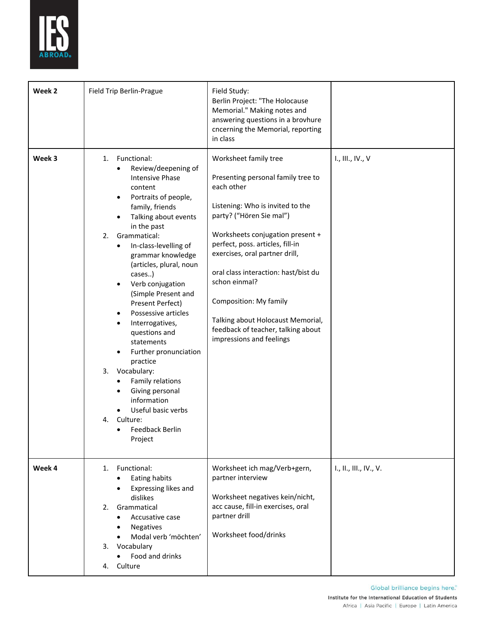

| Week 2 | Field Trip Berlin-Prague                                                                                                                                                                                                                                                                                                                                                                                                                                                                                                                                                                                                                           | Field Study:<br>Berlin Project: "The Holocause<br>Memorial." Making notes and<br>answering questions in a brovhure<br>cncerning the Memorial, reporting<br>in class                                                                                                                                                                                                                                                                           |                        |
|--------|----------------------------------------------------------------------------------------------------------------------------------------------------------------------------------------------------------------------------------------------------------------------------------------------------------------------------------------------------------------------------------------------------------------------------------------------------------------------------------------------------------------------------------------------------------------------------------------------------------------------------------------------------|-----------------------------------------------------------------------------------------------------------------------------------------------------------------------------------------------------------------------------------------------------------------------------------------------------------------------------------------------------------------------------------------------------------------------------------------------|------------------------|
| Week 3 | Functional:<br>1.<br>Review/deepening of<br>$\bullet$<br><b>Intensive Phase</b><br>content<br>Portraits of people,<br>$\bullet$<br>family, friends<br>Talking about events<br>in the past<br>Grammatical:<br>2.<br>In-class-levelling of<br>٠<br>grammar knowledge<br>(articles, plural, noun<br>cases)<br>Verb conjugation<br>$\bullet$<br>(Simple Present and<br>Present Perfect)<br>Possessive articles<br>Interrogatives,<br>questions and<br>statements<br>Further pronunciation<br>practice<br>3.<br>Vocabulary:<br>Family relations<br>Giving personal<br>information<br>Useful basic verbs<br>Culture:<br>4.<br>Feedback Berlin<br>Project | Worksheet family tree<br>Presenting personal family tree to<br>each other<br>Listening: Who is invited to the<br>party? ("Hören Sie mal")<br>Worksheets conjugation present +<br>perfect, poss. articles, fill-in<br>exercises, oral partner drill,<br>oral class interaction: hast/bist du<br>schon einmal?<br>Composition: My family<br>Talking about Holocaust Memorial,<br>feedback of teacher, talking about<br>impressions and feelings | I., III., IV., V       |
| Week 4 | 1. Functional:<br>Eating habits<br>Expressing likes and<br>dislikes<br>2.<br>Grammatical<br>Accusative case<br><b>Negatives</b><br>Modal verb 'möchten'<br>3. Vocabulary<br>Food and drinks<br>$\bullet$<br>4. Culture                                                                                                                                                                                                                                                                                                                                                                                                                             | Worksheet ich mag/Verb+gern,<br>partner interview<br>Worksheet negatives kein/nicht,<br>acc cause, fill-in exercises, oral<br>partner drill<br>Worksheet food/drinks                                                                                                                                                                                                                                                                          | I., II., III., IV., V. |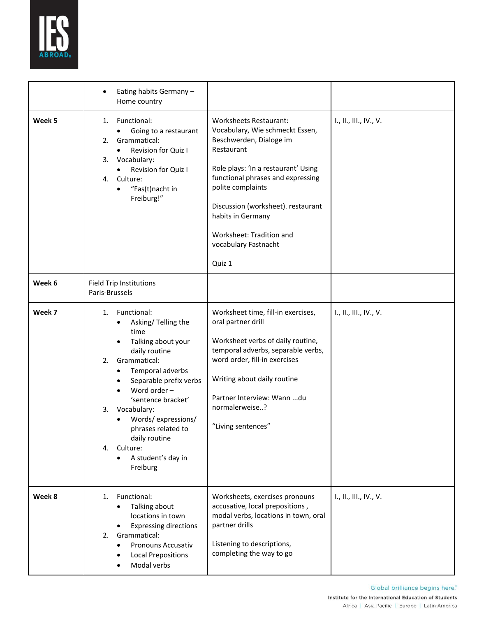

|        | Eating habits Germany -<br>$\bullet$<br>Home country                                                                                                                                                                                                                                                                                                                          |                                                                                                                                                                                                                                                                                                                                     |                        |
|--------|-------------------------------------------------------------------------------------------------------------------------------------------------------------------------------------------------------------------------------------------------------------------------------------------------------------------------------------------------------------------------------|-------------------------------------------------------------------------------------------------------------------------------------------------------------------------------------------------------------------------------------------------------------------------------------------------------------------------------------|------------------------|
| Week 5 | Functional:<br>1.<br>Going to a restaurant<br>$\bullet$<br>Grammatical:<br>2.<br>Revision for Quiz I<br>$\bullet$<br>Vocabulary:<br>3.<br>Revision for Quiz I<br>$\bullet$<br>Culture:<br>4.<br>"Fas(t)nacht in<br>$\bullet$<br>Freiburg!"                                                                                                                                    | <b>Worksheets Restaurant:</b><br>Vocabulary, Wie schmeckt Essen,<br>Beschwerden, Dialoge im<br>Restaurant<br>Role plays: 'In a restaurant' Using<br>functional phrases and expressing<br>polite complaints<br>Discussion (worksheet). restaurant<br>habits in Germany<br>Worksheet: Tradition and<br>vocabulary Fastnacht<br>Quiz 1 | I., II., III., IV., V. |
| Week 6 | <b>Field Trip Institutions</b><br>Paris-Brussels                                                                                                                                                                                                                                                                                                                              |                                                                                                                                                                                                                                                                                                                                     |                        |
| Week 7 | Functional:<br>1.<br>Asking/Telling the<br>time<br>Talking about your<br>$\bullet$<br>daily routine<br>Grammatical:<br>2.<br>Temporal adverbs<br>$\bullet$<br>Separable prefix verbs<br>Word order -<br>'sentence bracket'<br>Vocabulary:<br>3.<br>Words/expressions/<br>$\bullet$<br>phrases related to<br>daily routine<br>Culture:<br>4.<br>A student's day in<br>Freiburg | Worksheet time, fill-in exercises,<br>oral partner drill<br>Worksheet verbs of daily routine,<br>temporal adverbs, separable verbs,<br>word order, fill-in exercises<br>Writing about daily routine<br>Partner Interview: Wann du<br>normalerweise?<br>"Living sentences"                                                           | I., II., III., IV., V. |
| Week 8 | 1. Functional:<br>Talking about<br>locations in town<br><b>Expressing directions</b><br>Grammatical:<br>2.<br>Pronouns Accusativ<br><b>Local Prepositions</b><br>Modal verbs                                                                                                                                                                                                  | Worksheets, exercises pronouns<br>accusative, local prepositions,<br>modal verbs, locations in town, oral<br>partner drills<br>Listening to descriptions,<br>completing the way to go                                                                                                                                               | I., II., III., IV., V. |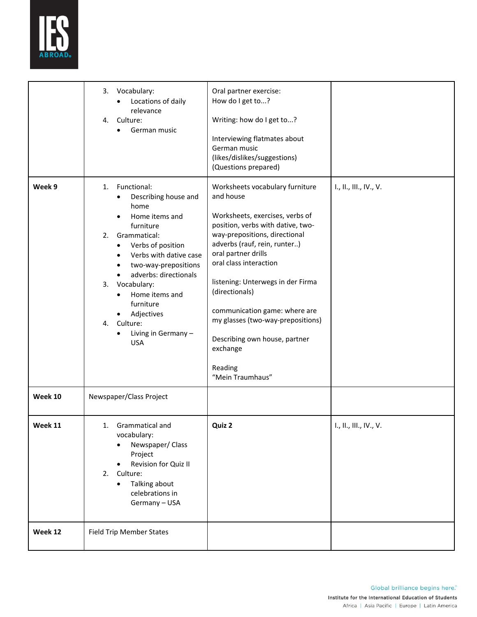

|         | 3.<br>Vocabulary:<br>Locations of daily<br>relevance<br>Culture:<br>4.<br>German music                                                                                                                                                                                                                                                                         | Oral partner exercise:<br>How do I get to?<br>Writing: how do I get to?<br>Interviewing flatmates about<br>German music<br>(likes/dislikes/suggestions)<br>(Questions prepared)                                                                                                                                                                                                                                                                 |                        |
|---------|----------------------------------------------------------------------------------------------------------------------------------------------------------------------------------------------------------------------------------------------------------------------------------------------------------------------------------------------------------------|-------------------------------------------------------------------------------------------------------------------------------------------------------------------------------------------------------------------------------------------------------------------------------------------------------------------------------------------------------------------------------------------------------------------------------------------------|------------------------|
| Week 9  | Functional:<br>1.<br>Describing house and<br>home<br>Home items and<br>furniture<br>Grammatical:<br>2.<br>Verbs of position<br>$\bullet$<br>Verbs with dative case<br>$\bullet$<br>two-way-prepositions<br>٠<br>adverbs: directionals<br>Vocabulary:<br>3.<br>Home items and<br>furniture<br>Adjectives<br>Culture:<br>4.<br>Living in Germany -<br><b>USA</b> | Worksheets vocabulary furniture<br>and house<br>Worksheets, exercises, verbs of<br>position, verbs with dative, two-<br>way-prepositions, directional<br>adverbs (rauf, rein, runter)<br>oral partner drills<br>oral class interaction<br>listening: Unterwegs in der Firma<br>(directionals)<br>communication game: where are<br>my glasses (two-way-prepositions)<br>Describing own house, partner<br>exchange<br>Reading<br>"Mein Traumhaus" | I., II., III., IV., V. |
| Week 10 | Newspaper/Class Project                                                                                                                                                                                                                                                                                                                                        |                                                                                                                                                                                                                                                                                                                                                                                                                                                 |                        |
| Week 11 | 1. Grammatical and<br>vocabulary:<br>Newspaper/ Class<br>Project<br>Revision for Quiz II<br>2. Culture:<br>Talking about<br>$\bullet$<br>celebrations in<br>Germany - USA                                                                                                                                                                                      | Quiz 2                                                                                                                                                                                                                                                                                                                                                                                                                                          | I., II., III., IV., V. |
| Week 12 | <b>Field Trip Member States</b>                                                                                                                                                                                                                                                                                                                                |                                                                                                                                                                                                                                                                                                                                                                                                                                                 |                        |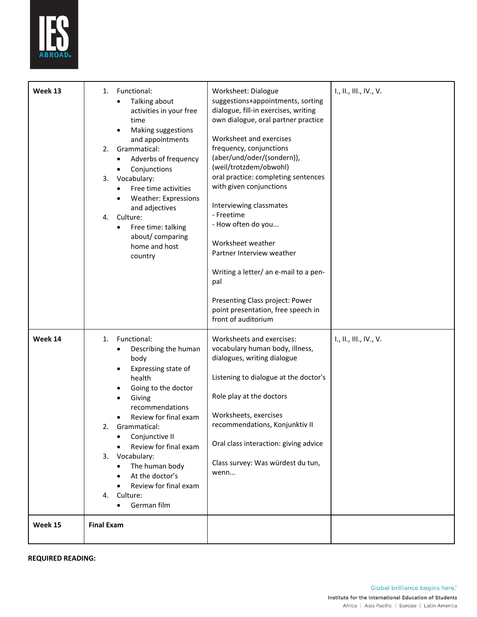

| Week 13 | Functional:<br>1.<br>Talking about<br>activities in your free<br>time<br>Making suggestions<br>٠<br>and appointments<br>Grammatical:<br>2.<br>Adverbs of frequency<br>Conjunctions<br>٠<br>Vocabulary:<br>3.<br>Free time activities<br><b>Weather: Expressions</b><br>and adjectives<br>4.<br>Culture:<br>Free time: talking<br>$\bullet$<br>about/comparing<br>home and host<br>country | Worksheet: Dialogue<br>suggestions+appointments, sorting<br>dialogue, fill-in exercises, writing<br>own dialogue, oral partner practice<br>Worksheet and exercises<br>frequency, conjunctions<br>(aber/und/oder/(sondern)),<br>(weil/trotzdem/obwohl)<br>oral practice: completing sentences<br>with given conjunctions<br>Interviewing classmates<br>- Freetime<br>- How often do you<br>Worksheet weather<br>Partner Interview weather<br>Writing a letter/ an e-mail to a pen-<br>pal<br>Presenting Class project: Power<br>point presentation, free speech in<br>front of auditorium | I., II., III., IV., V. |
|---------|-------------------------------------------------------------------------------------------------------------------------------------------------------------------------------------------------------------------------------------------------------------------------------------------------------------------------------------------------------------------------------------------|------------------------------------------------------------------------------------------------------------------------------------------------------------------------------------------------------------------------------------------------------------------------------------------------------------------------------------------------------------------------------------------------------------------------------------------------------------------------------------------------------------------------------------------------------------------------------------------|------------------------|
| Week 14 | Functional:<br>1.<br>Describing the human<br>body<br>Expressing state of<br>health<br>Going to the doctor<br>Giving<br>recommendations<br>Review for final exam<br>Grammatical:<br>2.<br>Conjunctive II<br>Review for final exam<br>Vocabulary:<br>3.<br>The human body<br>At the doctor's<br>Review for final exam<br>4. Culture:<br>German film                                         | Worksheets and exercises:<br>vocabulary human body, illness,<br>dialogues, writing dialogue<br>Listening to dialogue at the doctor's<br>Role play at the doctors<br>Worksheets, exercises<br>recommendations, Konjunktiv II<br>Oral class interaction: giving advice<br>Class survey: Was würdest du tun,<br>wenn                                                                                                                                                                                                                                                                        | I., II., III., IV., V. |
| Week 15 | <b>Final Exam</b>                                                                                                                                                                                                                                                                                                                                                                         |                                                                                                                                                                                                                                                                                                                                                                                                                                                                                                                                                                                          |                        |

**REQUIRED READING:**